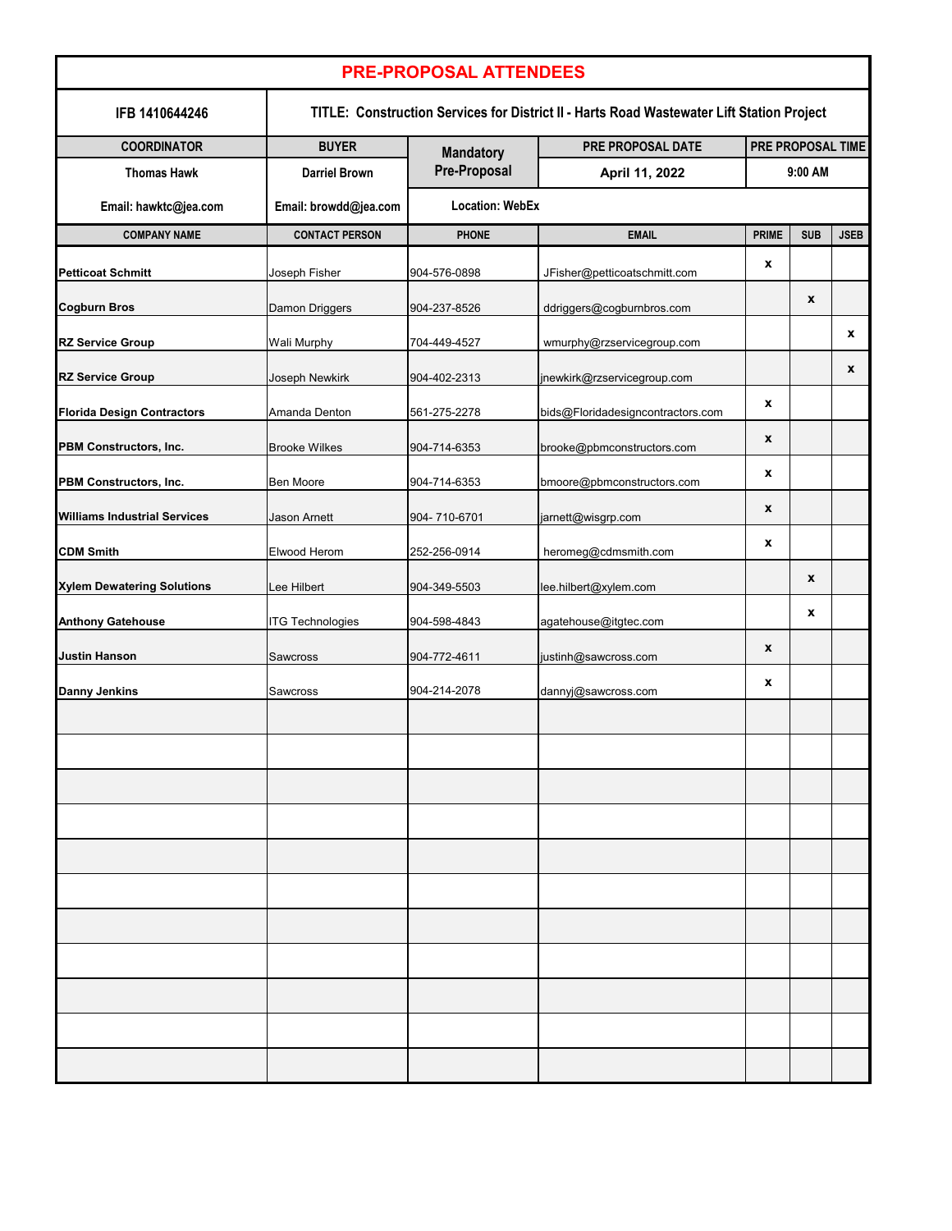| <b>PRE-PROPOSAL ATTENDEES</b>       |                                                                                           |                        |                                   |                              |            |              |  |  |  |  |  |
|-------------------------------------|-------------------------------------------------------------------------------------------|------------------------|-----------------------------------|------------------------------|------------|--------------|--|--|--|--|--|
| IFB 1410644246                      | TITLE: Construction Services for District II - Harts Road Wastewater Lift Station Project |                        |                                   |                              |            |              |  |  |  |  |  |
| <b>COORDINATOR</b>                  | <b>BUYER</b>                                                                              | <b>Mandatory</b>       | PRE PROPOSAL DATE                 | PRE PROPOSAL TIME<br>9:00 AM |            |              |  |  |  |  |  |
| <b>Thomas Hawk</b>                  | <b>Darriel Brown</b>                                                                      | <b>Pre-Proposal</b>    | April 11, 2022                    |                              |            |              |  |  |  |  |  |
| Email: hawktc@jea.com               | Email: browdd@jea.com                                                                     | <b>Location: WebEx</b> |                                   |                              |            |              |  |  |  |  |  |
| <b>COMPANY NAME</b>                 | <b>CONTACT PERSON</b>                                                                     | <b>PHONE</b>           | <b>EMAIL</b>                      | <b>PRIME</b>                 | <b>SUB</b> | <b>JSEB</b>  |  |  |  |  |  |
| <b>Petticoat Schmitt</b>            | Joseph Fisher                                                                             | 904-576-0898           | JFisher@petticoatschmitt.com      | $\boldsymbol{\mathsf{X}}$    |            |              |  |  |  |  |  |
| <b>Cogburn Bros</b>                 | <b>Damon Driggers</b>                                                                     | 904-237-8526           | ddriggers@cogburnbros.com         |                              | X          |              |  |  |  |  |  |
| <b>RZ Service Group</b>             | <b>Wali Murphy</b>                                                                        | 704-449-4527           | wmurphy@rzservicegroup.com        |                              |            | $\mathbf{x}$ |  |  |  |  |  |
| <b>RZ Service Group</b>             | Joseph Newkirk                                                                            | 904-402-2313           | jnewkirk@rzservicegroup.com       |                              |            | X            |  |  |  |  |  |
| <b>Florida Design Contractors</b>   | Amanda Denton                                                                             | 561-275-2278           | bids@Floridadesigncontractors.com | $\boldsymbol{\mathsf{X}}$    |            |              |  |  |  |  |  |
| <b>PBM Constructors, Inc.</b>       | <b>Brooke Wilkes</b>                                                                      | 904-714-6353           | brooke@pbmconstructors.com        | $\boldsymbol{\mathsf{X}}$    |            |              |  |  |  |  |  |
| <b>PBM Constructors, Inc.</b>       | Ben Moore                                                                                 | 904-714-6353           | bmoore@pbmconstructors.com        | X                            |            |              |  |  |  |  |  |
| <b>Williams Industrial Services</b> | Jason Arnett                                                                              | 904-710-6701           | jarnett@wisgrp.com                | $\boldsymbol{\mathsf{X}}$    |            |              |  |  |  |  |  |
| <b>CDM Smith</b>                    | Elwood Herom                                                                              | 252-256-0914           | heromeg@cdmsmith.com              | X                            |            |              |  |  |  |  |  |
| <b>Xylem Dewatering Solutions</b>   | Lee Hilbert                                                                               | 904-349-5503           | lee.hilbert@xylem.com             |                              | X          |              |  |  |  |  |  |
| <b>Anthony Gatehouse</b>            | <b>ITG Technologies</b>                                                                   | 904-598-4843           | agatehouse@itgtec.com             |                              | X          |              |  |  |  |  |  |
| <b>Justin Hanson</b>                | <b>Sawcross</b>                                                                           | 904-772-4611           | justinh@sawcross.com              | $\boldsymbol{\mathsf{X}}$    |            |              |  |  |  |  |  |
| <b>Danny Jenkins</b>                | <b>Sawcross</b>                                                                           | 904-214-2078           | dannyj@sawcross.com               | X                            |            |              |  |  |  |  |  |
|                                     |                                                                                           |                        |                                   |                              |            |              |  |  |  |  |  |
|                                     |                                                                                           |                        |                                   |                              |            |              |  |  |  |  |  |
|                                     |                                                                                           |                        |                                   |                              |            |              |  |  |  |  |  |
|                                     |                                                                                           |                        |                                   |                              |            |              |  |  |  |  |  |
|                                     |                                                                                           |                        |                                   |                              |            |              |  |  |  |  |  |
|                                     |                                                                                           |                        |                                   |                              |            |              |  |  |  |  |  |
|                                     |                                                                                           |                        |                                   |                              |            |              |  |  |  |  |  |
|                                     |                                                                                           |                        |                                   |                              |            |              |  |  |  |  |  |
|                                     |                                                                                           |                        |                                   |                              |            |              |  |  |  |  |  |
|                                     |                                                                                           |                        |                                   |                              |            |              |  |  |  |  |  |
|                                     |                                                                                           |                        |                                   |                              |            |              |  |  |  |  |  |